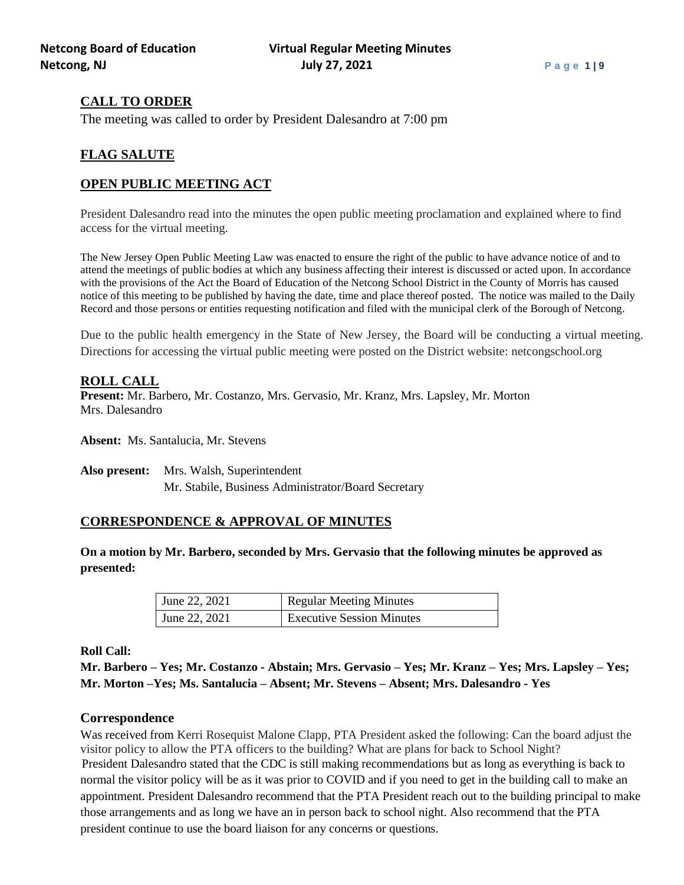# **CALL TO ORDER**

The meeting was called to order by President Dalesandro at 7:00 pm

# **FLAG SALUTE**

# **OPEN PUBLIC MEETING ACT**

President Dalesandro read into the minutes the open public meeting proclamation and explained where to find access for the virtual meeting.

The New Jersey Open Public Meeting Law was enacted to ensure the right of the public to have advance notice of and to attend the meetings of public bodies at which any business affecting their interest is discussed or acted upon. In accordance with the provisions of the Act the Board of Education of the Netcong School District in the County of Morris has caused notice of this meeting to be published by having the date, time and place thereof posted. The notice was mailed to the Daily Record and those persons or entities requesting notification and filed with the municipal clerk of the Borough of Netcong.

Due to the public health emergency in the State of New Jersey, the Board will be conducting a virtual meeting. Directions for accessing the virtual public meeting were posted on the District website: netcongschool.org

# **ROLL CALL**

**Present:** Mr. Barbero, Mr. Costanzo, Mrs. Gervasio, Mr. Kranz, Mrs. Lapsley, Mr. Morton Mrs. Dalesandro

**Absent:** Ms. Santalucia, Mr. Stevens

**Also present:** Mrs. Walsh, Superintendent Mr. Stabile, Business Administrator/Board Secretary

# **CORRESPONDENCE & APPROVAL OF MINUTES**

**On a motion by Mr. Barbero, seconded by Mrs. Gervasio that the following minutes be approved as presented:**

| June 22, 2021 | <b>Regular Meeting Minutes</b>   |  |
|---------------|----------------------------------|--|
| June 22, 2021 | <b>Executive Session Minutes</b> |  |

**Roll Call:**

**Mr. Barbero – Yes; Mr. Costanzo - Abstain; Mrs. Gervasio – Yes; Mr. Kranz – Yes; Mrs. Lapsley – Yes; Mr. Morton –Yes; Ms. Santalucia – Absent; Mr. Stevens – Absent; Mrs. Dalesandro - Yes**

# **Correspondence**

Was received from Kerri Rosequist Malone Clapp, PTA President asked the following: Can the board adjust the visitor policy to allow the PTA officers to the building? What are plans for back to School Night? President Dalesandro stated that the CDC is still making recommendations but as long as everything is back to normal the visitor policy will be as it was prior to COVID and if you need to get in the building call to make an appointment. President Dalesandro recommend that the PTA President reach out to the building principal to make those arrangements and as long we have an in person back to school night. Also recommend that the PTA president continue to use the board liaison for any concerns or questions.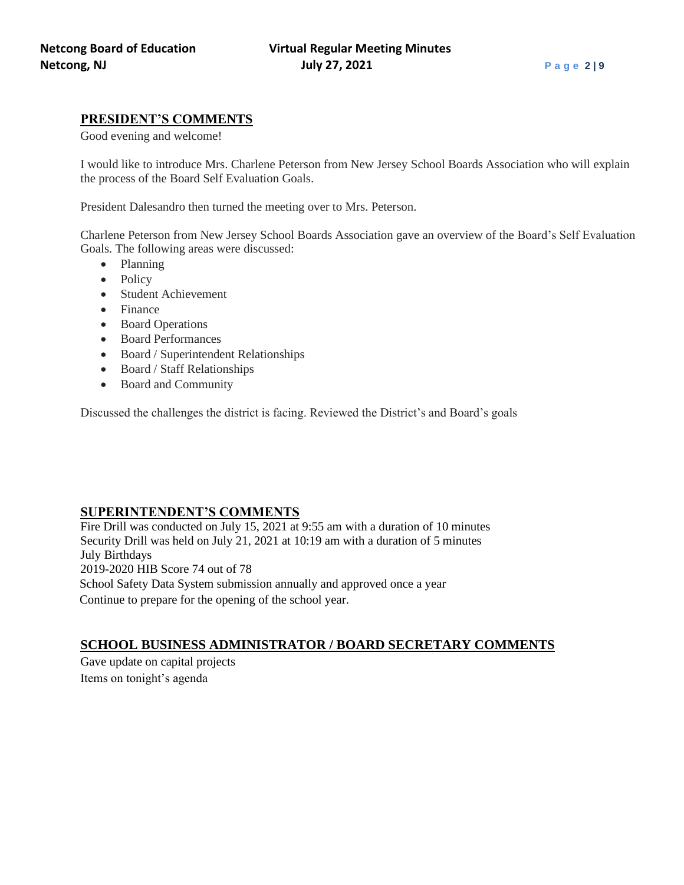# **PRESIDENT'S COMMENTS**

Good evening and welcome!

I would like to introduce Mrs. Charlene Peterson from New Jersey School Boards Association who will explain the process of the Board Self Evaluation Goals.

President Dalesandro then turned the meeting over to Mrs. Peterson.

Charlene Peterson from New Jersey School Boards Association gave an overview of the Board's Self Evaluation Goals. The following areas were discussed:

- Planning
- Policy
- Student Achievement
- Finance
- Board Operations
- Board Performances
- Board / Superintendent Relationships
- Board / Staff Relationships
- Board and Community

Discussed the challenges the district is facing. Reviewed the District's and Board's goals

# **SUPERINTENDENT'S COMMENTS**

Fire Drill was conducted on July 15, 2021 at 9:55 am with a duration of 10 minutes Security Drill was held on July 21, 2021 at 10:19 am with a duration of 5 minutes July Birthdays 2019-2020 HIB Score 74 out of 78 School Safety Data System submission annually and approved once a year Continue to prepare for the opening of the school year.

# **SCHOOL BUSINESS ADMINISTRATOR / BOARD SECRETARY COMMENTS**

Gave update on capital projects Items on tonight's agenda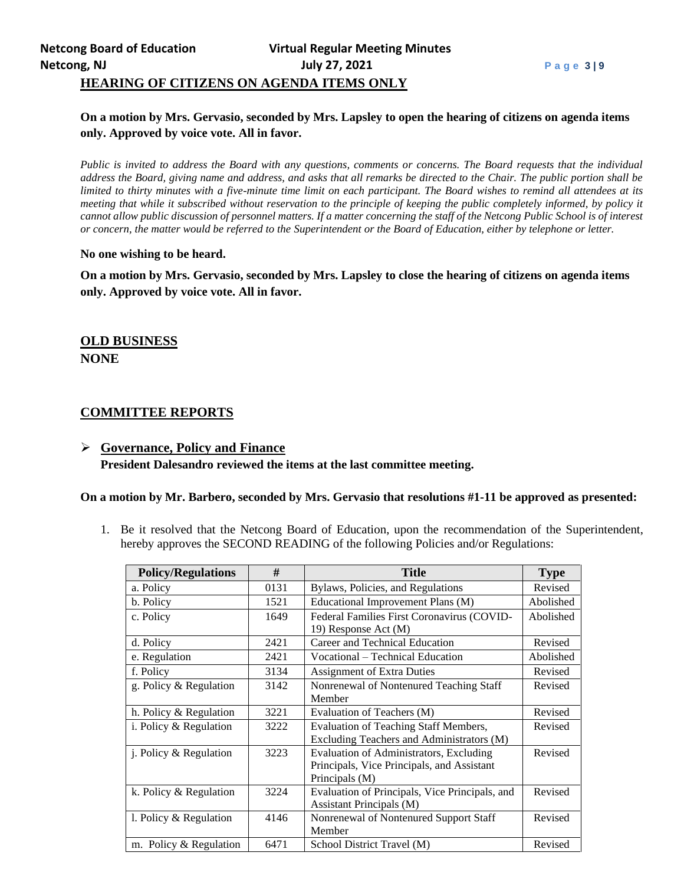# **On a motion by Mrs. Gervasio, seconded by Mrs. Lapsley to open the hearing of citizens on agenda items only. Approved by voice vote. All in favor.**

*Public is invited to address the Board with any questions, comments or concerns. The Board requests that the individual address the Board, giving name and address, and asks that all remarks be directed to the Chair. The public portion shall be limited to thirty minutes with a five-minute time limit on each participant. The Board wishes to remind all attendees at its meeting that while it subscribed without reservation to the principle of keeping the public completely informed, by policy it cannot allow public discussion of personnel matters. If a matter concerning the staff of the Netcong Public School is of interest or concern, the matter would be referred to the Superintendent or the Board of Education, either by telephone or letter.*

#### **No one wishing to be heard.**

**On a motion by Mrs. Gervasio, seconded by Mrs. Lapsley to close the hearing of citizens on agenda items only. Approved by voice vote. All in favor.**

# **OLD BUSINESS NONE**

# **COMMITTEE REPORTS**

# ➢ **Governance, Policy and Finance President Dalesandro reviewed the items at the last committee meeting.**

#### **On a motion by Mr. Barbero, seconded by Mrs. Gervasio that resolutions #1-11 be approved as presented:**

1. Be it resolved that the Netcong Board of Education, upon the recommendation of the Superintendent, hereby approves the SECOND READING of the following Policies and/or Regulations:

| <b>Policy/Regulations</b> | #    | <b>Title</b>                                            | <b>Type</b> |
|---------------------------|------|---------------------------------------------------------|-------------|
| a. Policy                 | 0131 | Bylaws, Policies, and Regulations                       | Revised     |
| b. Policy                 | 1521 | Educational Improvement Plans (M)                       | Abolished   |
| c. Policy                 | 1649 | Federal Families First Coronavirus (COVID-              | Abolished   |
|                           |      | 19) Response Act (M)                                    |             |
| d. Policy                 | 2421 | Career and Technical Education                          | Revised     |
| e. Regulation             | 2421 | Vocational – Technical Education                        | Abolished   |
| f. Policy                 | 3134 | <b>Assignment of Extra Duties</b><br>Revised            |             |
| g. Policy & Regulation    | 3142 | Nonrenewal of Nontenured Teaching Staff                 | Revised     |
|                           |      | Member                                                  |             |
| h. Policy & Regulation    | 3221 | Evaluation of Teachers (M)                              | Revised     |
| i. Policy & Regulation    | 3222 | <b>Evaluation of Teaching Staff Members,</b><br>Revised |             |
|                           |      | Excluding Teachers and Administrators (M)               |             |
| j. Policy & Regulation    | 3223 | Evaluation of Administrators, Excluding                 | Revised     |
|                           |      | Principals, Vice Principals, and Assistant              |             |
|                           |      | Principals (M)                                          |             |
| k. Policy & Regulation    | 3224 | Evaluation of Principals, Vice Principals, and          | Revised     |
|                           |      | Assistant Principals (M)                                |             |
| l. Policy & Regulation    | 4146 | Nonrenewal of Nontenured Support Staff                  | Revised     |
|                           |      | Member                                                  |             |
| m. Policy & Regulation    | 6471 | School District Travel (M)                              | Revised     |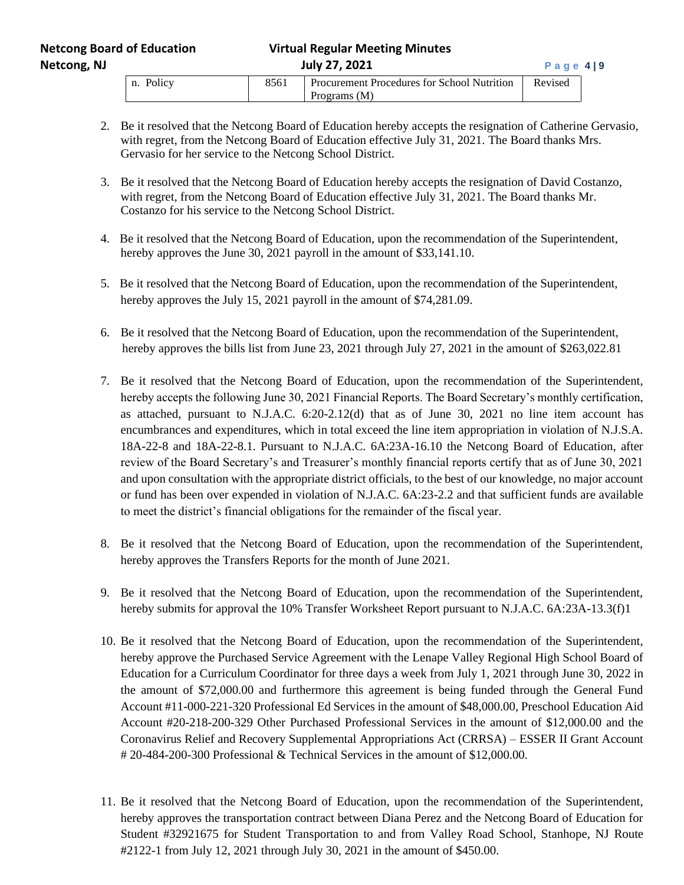# **Netcong, NJ July 27, 2021 P a g e 4 | 9**

| . Policy<br>n. | Procurement Procedures for School Nutrition | Revised |
|----------------|---------------------------------------------|---------|
|                | Programs (M)                                |         |

- 2. Be it resolved that the Netcong Board of Education hereby accepts the resignation of Catherine Gervasio, with regret, from the Netcong Board of Education effective July 31, 2021. The Board thanks Mrs. Gervasio for her service to the Netcong School District.
- 3. Be it resolved that the Netcong Board of Education hereby accepts the resignation of David Costanzo, with regret, from the Netcong Board of Education effective July 31, 2021. The Board thanks Mr. Costanzo for his service to the Netcong School District.
- 4. Be it resolved that the Netcong Board of Education, upon the recommendation of the Superintendent, hereby approves the June 30, 2021 payroll in the amount of \$33,141.10.
- 5. Be it resolved that the Netcong Board of Education, upon the recommendation of the Superintendent, hereby approves the July 15, 2021 payroll in the amount of \$74,281.09.
- 6. Be it resolved that the Netcong Board of Education, upon the recommendation of the Superintendent, hereby approves the bills list from June 23, 2021 through July 27, 2021 in the amount of \$263,022.81
- 7. Be it resolved that the Netcong Board of Education, upon the recommendation of the Superintendent, hereby accepts the following June 30, 2021 Financial Reports. The Board Secretary's monthly certification, as attached, pursuant to N.J.A.C. 6:20-2.12(d) that as of June 30, 2021 no line item account has encumbrances and expenditures, which in total exceed the line item appropriation in violation of N.J.S.A. 18A-22-8 and 18A-22-8.1. Pursuant to N.J.A.C. 6A:23A-16.10 the Netcong Board of Education, after review of the Board Secretary's and Treasurer's monthly financial reports certify that as of June 30, 2021 and upon consultation with the appropriate district officials, to the best of our knowledge, no major account or fund has been over expended in violation of N.J.A.C. 6A:23-2.2 and that sufficient funds are available to meet the district's financial obligations for the remainder of the fiscal year.
- 8. Be it resolved that the Netcong Board of Education, upon the recommendation of the Superintendent, hereby approves the Transfers Reports for the month of June 2021.
- 9. Be it resolved that the Netcong Board of Education, upon the recommendation of the Superintendent, hereby submits for approval the 10% Transfer Worksheet Report pursuant to N.J.A.C. 6A:23A-13.3(f)1
- 10. Be it resolved that the Netcong Board of Education, upon the recommendation of the Superintendent, hereby approve the Purchased Service Agreement with the Lenape Valley Regional High School Board of Education for a Curriculum Coordinator for three days a week from July 1, 2021 through June 30, 2022 in the amount of \$72,000.00 and furthermore this agreement is being funded through the General Fund Account #11-000-221-320 Professional Ed Services in the amount of \$48,000.00, Preschool Education Aid Account #20-218-200-329 Other Purchased Professional Services in the amount of \$12,000.00 and the Coronavirus Relief and Recovery Supplemental Appropriations Act (CRRSA) – ESSER II Grant Account # 20-484-200-300 Professional & Technical Services in the amount of \$12,000.00.
- 11. Be it resolved that the Netcong Board of Education, upon the recommendation of the Superintendent, hereby approves the transportation contract between Diana Perez and the Netcong Board of Education for Student #32921675 for Student Transportation to and from Valley Road School, Stanhope, NJ Route #2122-1 from July 12, 2021 through July 30, 2021 in the amount of \$450.00.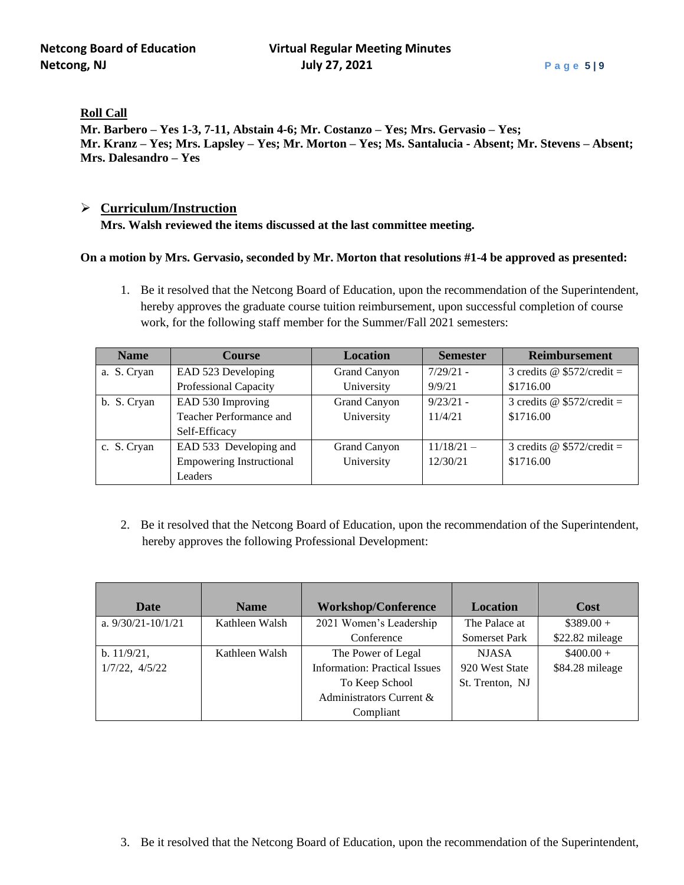**Roll Call**

**Mr. Barbero – Yes 1-3, 7-11, Abstain 4-6; Mr. Costanzo – Yes; Mrs. Gervasio – Yes; Mr. Kranz – Yes; Mrs. Lapsley – Yes; Mr. Morton – Yes; Ms. Santalucia - Absent; Mr. Stevens – Absent; Mrs. Dalesandro – Yes**

### ➢ **Curriculum/Instruction**

**Mrs. Walsh reviewed the items discussed at the last committee meeting.**

#### **On a motion by Mrs. Gervasio, seconded by Mr. Morton that resolutions #1-4 be approved as presented:**

1. Be it resolved that the Netcong Board of Education, upon the recommendation of the Superintendent, hereby approves the graduate course tuition reimbursement, upon successful completion of course work, for the following staff member for the Summer/Fall 2021 semesters:

| <b>Name</b> | <b>Course</b>                   | <b>Location</b> | <b>Semester</b> | <b>Reimbursement</b>              |
|-------------|---------------------------------|-----------------|-----------------|-----------------------------------|
| a. S. Cryan | EAD 523 Developing              | Grand Canyon    | $7/29/21$ -     | 3 credits @ $$572/credit =$       |
|             | Professional Capacity           | University      | 9/9/21          | \$1716.00                         |
| b. S. Cryan | EAD 530 Improving               | Grand Canyon    | $9/23/21 -$     | 3 credits @ $$572/credit =$       |
|             | Teacher Performance and         | University      | 11/4/21         | \$1716.00                         |
|             | Self-Efficacy                   |                 |                 |                                   |
| c. S. Cryan | EAD 533 Developing and          | Grand Canyon    | $11/18/21 -$    | 3 credits $\omega$ \$572/credit = |
|             | <b>Empowering Instructional</b> | University      | 12/30/21        | \$1716.00                         |
|             | Leaders                         |                 |                 |                                   |

2. Be it resolved that the Netcong Board of Education, upon the recommendation of the Superintendent, hereby approves the following Professional Development:

| Date                   | <b>Name</b>    | <b>Workshop/Conference</b>           | Location             | Cost            |
|------------------------|----------------|--------------------------------------|----------------------|-----------------|
| a. $9/30/21 - 10/1/21$ | Kathleen Walsh | 2021 Women's Leadership              | The Palace at        | $$389.00+$      |
|                        |                | Conference                           | <b>Somerset Park</b> | \$22.82 mileage |
| $b. 11/9/21$ ,         | Kathleen Walsh | The Power of Legal                   | <b>NJASA</b>         | $$400.00+$      |
| $1/7/22$ , $4/5/22$    |                | <b>Information: Practical Issues</b> | 920 West State       | \$84.28 mileage |
|                        |                | To Keep School                       | St. Trenton, NJ      |                 |
|                        |                | Administrators Current &             |                      |                 |
|                        |                | Compliant                            |                      |                 |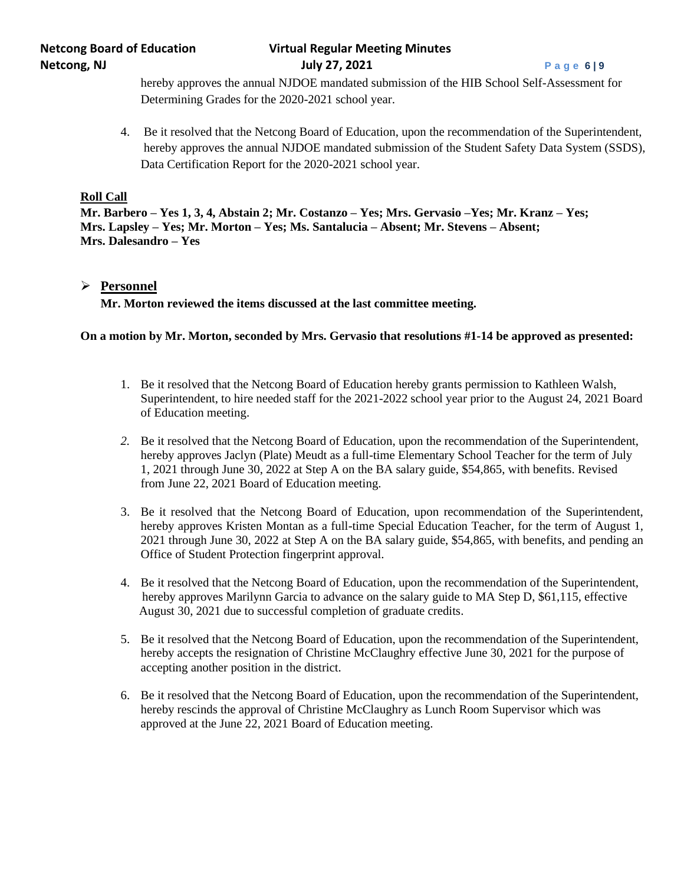# **Netcong Board of Education Virtual Regular Meeting Minutes Netcong, NJ July 27, 2021 P a g e 6 | 9**

hereby approves the annual NJDOE mandated submission of the HIB School Self-Assessment for Determining Grades for the 2020-2021 school year.

4. Be it resolved that the Netcong Board of Education, upon the recommendation of the Superintendent, hereby approves the annual NJDOE mandated submission of the Student Safety Data System (SSDS), Data Certification Report for the 2020-2021 school year.

### **Roll Call**

**Mr. Barbero – Yes 1, 3, 4, Abstain 2; Mr. Costanzo – Yes; Mrs. Gervasio –Yes; Mr. Kranz – Yes; Mrs. Lapsley – Yes; Mr. Morton – Yes; Ms. Santalucia – Absent; Mr. Stevens – Absent; Mrs. Dalesandro – Yes**

### ➢ **Personnel**

**Mr. Morton reviewed the items discussed at the last committee meeting.**

#### **On a motion by Mr. Morton, seconded by Mrs. Gervasio that resolutions #1-14 be approved as presented:**

- 1. Be it resolved that the Netcong Board of Education hereby grants permission to Kathleen Walsh, Superintendent, to hire needed staff for the 2021-2022 school year prior to the August 24, 2021 Board of Education meeting.
- *2.* Be it resolved that the Netcong Board of Education, upon the recommendation of the Superintendent, hereby approves Jaclyn (Plate) Meudt as a full-time Elementary School Teacher for the term of July 1, 2021 through June 30, 2022 at Step A on the BA salary guide, \$54,865, with benefits. Revised from June 22, 2021 Board of Education meeting.
- 3. Be it resolved that the Netcong Board of Education, upon recommendation of the Superintendent, hereby approves Kristen Montan as a full-time Special Education Teacher, for the term of August 1, 2021 through June 30, 2022 at Step A on the BA salary guide, \$54,865, with benefits, and pending an Office of Student Protection fingerprint approval.
- 4. Be it resolved that the Netcong Board of Education, upon the recommendation of the Superintendent, hereby approves Marilynn Garcia to advance on the salary guide to MA Step D, \$61,115, effective August 30, 2021 due to successful completion of graduate credits.
- 5. Be it resolved that the Netcong Board of Education, upon the recommendation of the Superintendent, hereby accepts the resignation of Christine McClaughry effective June 30, 2021 for the purpose of accepting another position in the district.
- 6. Be it resolved that the Netcong Board of Education, upon the recommendation of the Superintendent, hereby rescinds the approval of Christine McClaughry as Lunch Room Supervisor which was approved at the June 22, 2021 Board of Education meeting.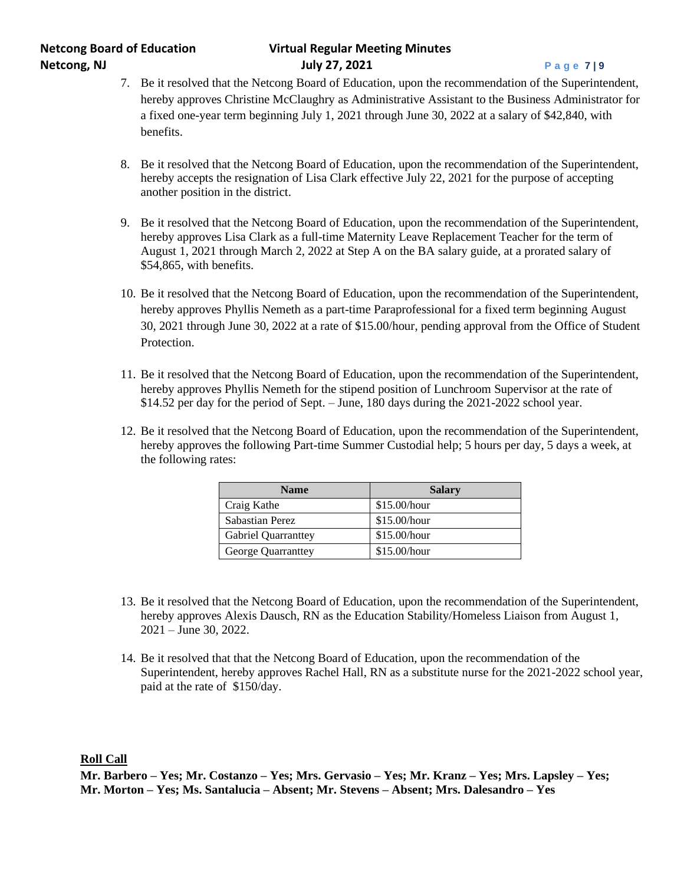# **Netcong Board of Education Virtual Regular Meeting Minutes Netcong, NJ July 27, 2021 P a g e 7 | 9**

- 7. Be it resolved that the Netcong Board of Education, upon the recommendation of the Superintendent, hereby approves Christine McClaughry as Administrative Assistant to the Business Administrator for a fixed one-year term beginning July 1, 2021 through June 30, 2022 at a salary of \$42,840, with benefits.
- 8. Be it resolved that the Netcong Board of Education, upon the recommendation of the Superintendent, hereby accepts the resignation of Lisa Clark effective July 22, 2021 for the purpose of accepting another position in the district.
- 9. Be it resolved that the Netcong Board of Education, upon the recommendation of the Superintendent, hereby approves Lisa Clark as a full-time Maternity Leave Replacement Teacher for the term of August 1, 2021 through March 2, 2022 at Step A on the BA salary guide, at a prorated salary of \$54,865, with benefits.
- 10. Be it resolved that the Netcong Board of Education, upon the recommendation of the Superintendent, hereby approves Phyllis Nemeth as a part-time Paraprofessional for a fixed term beginning August 30, 2021 through June 30, 2022 at a rate of \$15.00/hour, pending approval from the Office of Student Protection.
- 11. Be it resolved that the Netcong Board of Education, upon the recommendation of the Superintendent, hereby approves Phyllis Nemeth for the stipend position of Lunchroom Supervisor at the rate of \$14.52 per day for the period of Sept. – June, 180 days during the 2021-2022 school year.
- 12. Be it resolved that the Netcong Board of Education, upon the recommendation of the Superintendent, hereby approves the following Part-time Summer Custodial help; 5 hours per day, 5 days a week, at the following rates:

| <b>Name</b>                | <b>Salary</b>  |
|----------------------------|----------------|
| Craig Kathe                | \$15.00/hour   |
| Sabastian Perez            | \$15.00/hour   |
| <b>Gabriel Quarranttey</b> | \$15.00/hour   |
| George Quarranttey         | $$15.00/h$ our |

- 13. Be it resolved that the Netcong Board of Education, upon the recommendation of the Superintendent, hereby approves Alexis Dausch, RN as the Education Stability/Homeless Liaison from August 1, 2021 – June 30, 2022.
- 14. Be it resolved that that the Netcong Board of Education, upon the recommendation of the Superintendent, hereby approves Rachel Hall, RN as a substitute nurse for the 2021-2022 school year, paid at the rate of \$150/day.

**Roll Call**

**Mr. Barbero – Yes; Mr. Costanzo – Yes; Mrs. Gervasio – Yes; Mr. Kranz – Yes; Mrs. Lapsley – Yes; Mr. Morton – Yes; Ms. Santalucia – Absent; Mr. Stevens – Absent; Mrs. Dalesandro – Yes**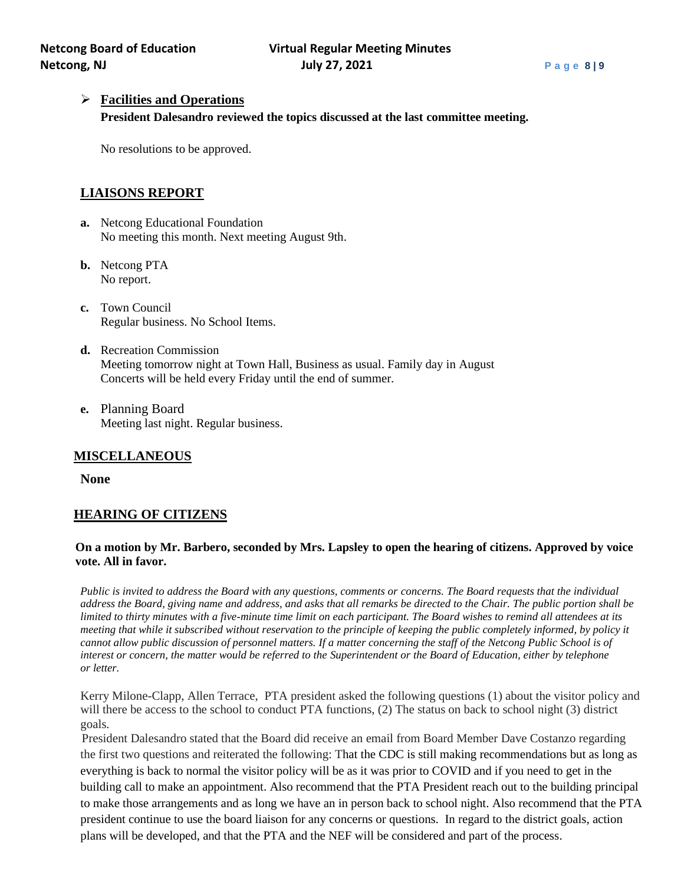# ➢ **Facilities and Operations**

**President Dalesandro reviewed the topics discussed at the last committee meeting.**

No resolutions to be approved.

# **LIAISONS REPORT**

- **a.** Netcong Educational Foundation No meeting this month. Next meeting August 9th.
- **b.** Netcong PTA No report.
- **c.** Town Council Regular business. No School Items.
- **d.** Recreation Commission Meeting tomorrow night at Town Hall, Business as usual. Family day in August Concerts will be held every Friday until the end of summer.
- **e.** Planning Board Meeting last night. Regular business.

# **MISCELLANEOUS**

**None**

# **HEARING OF CITIZENS**

### **On a motion by Mr. Barbero, seconded by Mrs. Lapsley to open the hearing of citizens. Approved by voice vote. All in favor.**

*Public is invited to address the Board with any questions, comments or concerns. The Board requests that the individual address the Board, giving name and address, and asks that all remarks be directed to the Chair. The public portion shall be limited to thirty minutes with a five-minute time limit on each participant. The Board wishes to remind all attendees at its meeting that while it subscribed without reservation to the principle of keeping the public completely informed, by policy it cannot allow public discussion of personnel matters. If a matter concerning the staff of the Netcong Public School is of interest or concern, the matter would be referred to the Superintendent or the Board of Education, either by telephone or letter.*

Kerry Milone-Clapp, Allen Terrace, PTA president asked the following questions (1) about the visitor policy and will there be access to the school to conduct PTA functions, (2) The status on back to school night (3) district goals.

President Dalesandro stated that the Board did receive an email from Board Member Dave Costanzo regarding the first two questions and reiterated the following: That the CDC is still making recommendations but as long as everything is back to normal the visitor policy will be as it was prior to COVID and if you need to get in the building call to make an appointment. Also recommend that the PTA President reach out to the building principal to make those arrangements and as long we have an in person back to school night. Also recommend that the PTA president continue to use the board liaison for any concerns or questions. In regard to the district goals, action plans will be developed, and that the PTA and the NEF will be considered and part of the process.